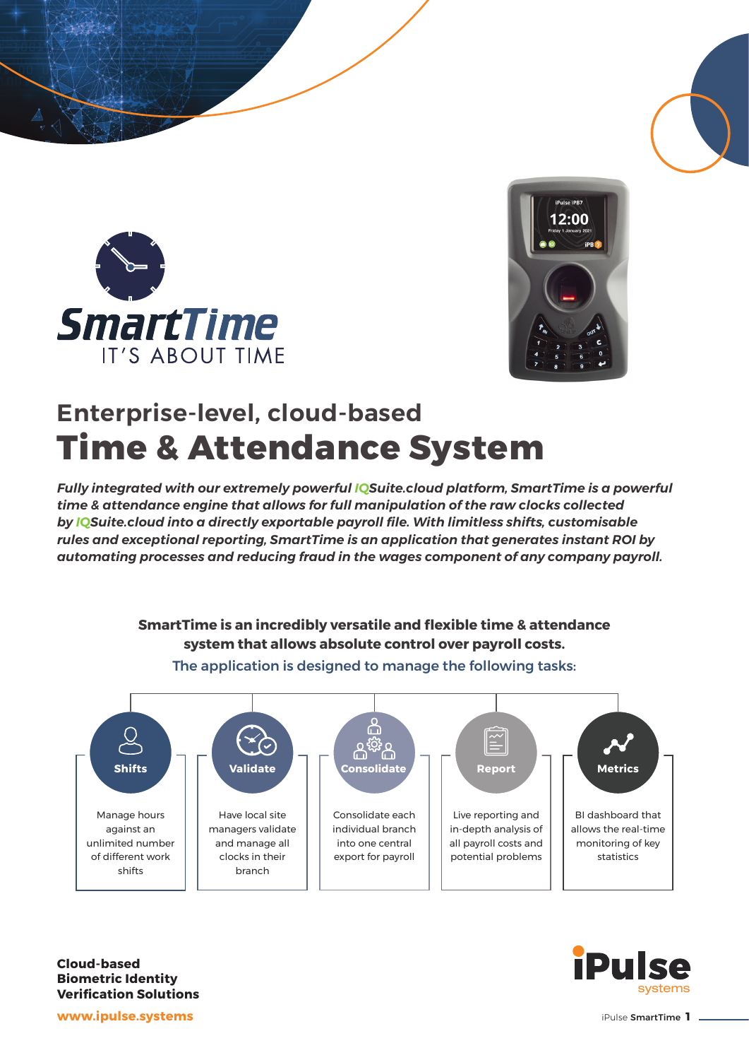



## **Enterprise-level, cloud-based Time & Attendance System**

*Fully integrated with our extremely powerful IQSuite.cloud platform, SmartTime is a powerful time & attendance engine that allows for full manipulation of the raw clocks collected by IQSuite.cloud into a directly exportable payroll file. With limitless shifts, customisable rules and exceptional reporting, SmartTime is an application that generates instant ROI by automating processes and reducing fraud in the wages component of any company payroll.*





The application is designed to manage the following tasks:

**Cloud-based Biometric Identity Verification Solutions**



**www.ipulse.systems**